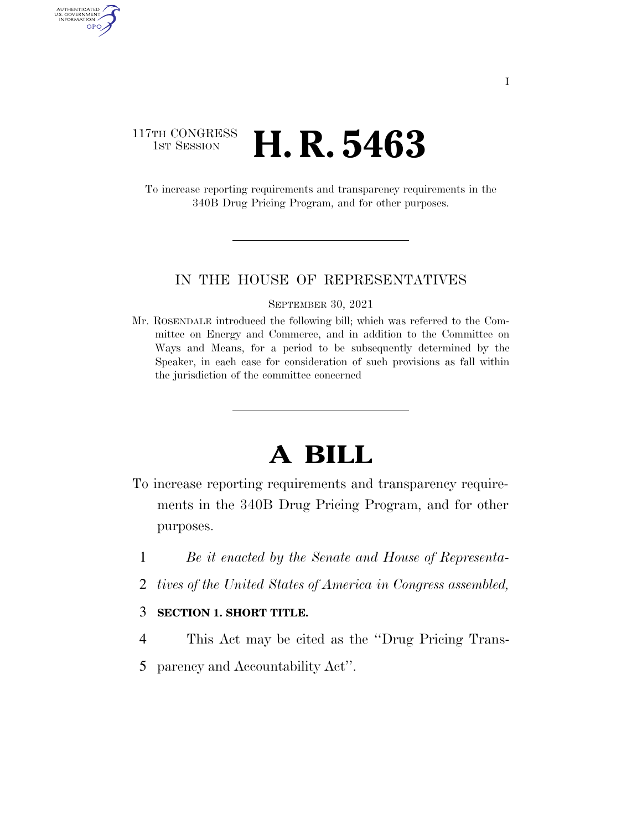## 117TH CONGRESS<br>1st Session **H. R. 5463**

AUTHENTICATED<br>U.S. GOVERNMENT<br>INFORMATION GPO

> To increase reporting requirements and transparency requirements in the 340B Drug Pricing Program, and for other purposes.

### IN THE HOUSE OF REPRESENTATIVES

#### SEPTEMBER 30, 2021

Mr. ROSENDALE introduced the following bill; which was referred to the Committee on Energy and Commerce, and in addition to the Committee on Ways and Means, for a period to be subsequently determined by the Speaker, in each case for consideration of such provisions as fall within the jurisdiction of the committee concerned

# **A BILL**

- To increase reporting requirements and transparency requirements in the 340B Drug Pricing Program, and for other purposes.
	- 1 *Be it enacted by the Senate and House of Representa-*
	- 2 *tives of the United States of America in Congress assembled,*

### 3 **SECTION 1. SHORT TITLE.**

- 4 This Act may be cited as the ''Drug Pricing Trans-
- 5 parency and Accountability Act''.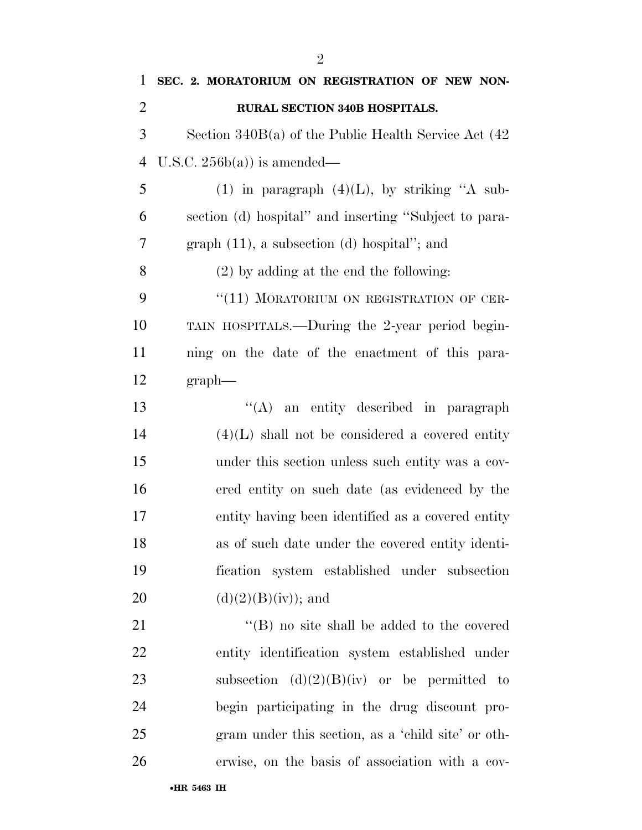| 1              | SEC. 2. MORATORIUM ON REGISTRATION OF NEW NON-            |
|----------------|-----------------------------------------------------------|
| $\overline{2}$ | <b>RURAL SECTION 340B HOSPITALS.</b>                      |
| 3              | Section $340B(a)$ of the Public Health Service Act $(42)$ |
| $\overline{4}$ | U.S.C. $256b(a)$ is amended—                              |
| 5              | (1) in paragraph $(4)(L)$ , by striking "A sub-           |
| 6              | section (d) hospital" and inserting "Subject to para-     |
| $\overline{7}$ | $graph (11)$ , a subsection (d) hospital"; and            |
| 8              | $(2)$ by adding at the end the following:                 |
| 9              | "(11) MORATORIUM ON REGISTRATION OF CER-                  |
| 10             | TAIN HOSPITALS.—During the 2-year period begin-           |
| 11             | ning on the date of the enactment of this para-           |
| 12             | graph                                                     |
| 13             | "(A) an entity described in paragraph                     |
| 14             | $(4)(L)$ shall not be considered a covered entity         |
| 15             | under this section unless such entity was a cov-          |
| 16             | ered entity on such date (as evidenced by the             |
| 17             | entity having been identified as a covered entity         |
| 18             | as of such date under the covered entity identi-          |
| 19             | fication system established under subsection              |
| 20             | $(d)(2)(B)(iv)$ ; and                                     |
| 21             | $\lq\lq (B)$ no site shall be added to the covered        |
| 22             | entity identification system established under            |
| 23             | subsection $(d)(2)(B)(iv)$ or be permitted to             |
| 24             | begin participating in the drug discount pro-             |
| 25             | gram under this section, as a 'child site' or oth-        |
| 26             | erwise, on the basis of association with a cov-           |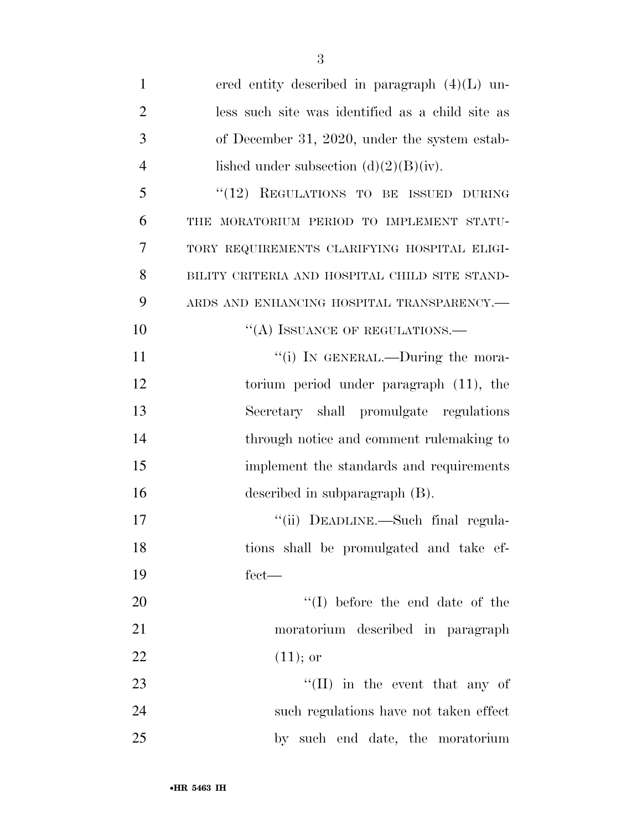| $\mathbf{1}$   | ered entity described in paragraph $(4)(L)$ un-  |
|----------------|--------------------------------------------------|
| $\overline{2}$ | less such site was identified as a child site as |
| 3              | of December 31, 2020, under the system estab-    |
| 4              | lished under subsection $(d)(2)(B)(iv)$ .        |
| 5              | "(12) REGULATIONS TO BE ISSUED DURING            |
| 6              | THE MORATORIUM PERIOD TO IMPLEMENT STATU-        |
| 7              | TORY REQUIREMENTS CLARIFYING HOSPITAL ELIGI-     |
| 8              | BILITY CRITERIA AND HOSPITAL CHILD SITE STAND-   |
| 9              | ARDS AND ENHANCING HOSPITAL TRANSPARENCY.-       |
| 10             | "(A) ISSUANCE OF REGULATIONS.—                   |
| 11             | "(i) IN GENERAL.—During the mora-                |
| 12             | torium period under paragraph (11), the          |
| 13             | Secretary shall promulgate regulations           |
| 14             | through notice and comment rulemaking to         |
| 15             | implement the standards and requirements         |
| 16             | described in subparagraph (B).                   |
| 17             | "(ii) DEADLINE.—Such final regula-               |
| 18             | tions shall be promulgated and take ef-          |
| 19             | $fect$ —                                         |
| 20             | $``(I)$ before the end date of the               |
| 21             | moratorium described in paragraph                |
| 22             | $(11);$ or                                       |
| 23             | $\lq\lq$ (II) in the event that any of           |
| 24             | such regulations have not taken effect           |
| 25             | by such end date, the moratorium                 |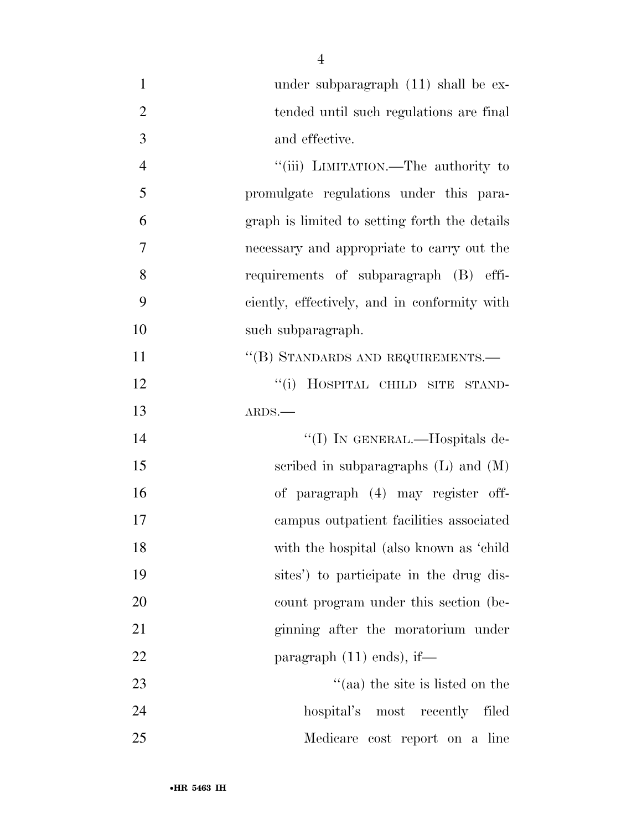| $\mathbf{1}$   | under subparagraph $(11)$ shall be ex-        |
|----------------|-----------------------------------------------|
| $\overline{2}$ | tended until such regulations are final       |
| 3              | and effective.                                |
| $\overline{4}$ | "(iii) LIMITATION.—The authority to           |
| 5              | promulgate regulations under this para-       |
| 6              | graph is limited to setting forth the details |
| 7              | necessary and appropriate to carry out the    |
| 8              | requirements of subparagraph (B) effi-        |
| 9              | ciently, effectively, and in conformity with  |
| 10             | such subparagraph.                            |
| 11             | "(B) STANDARDS AND REQUIREMENTS.-             |
| 12             | ``(i)<br>HOSPITAL CHILD SITE STAND-           |
| 13             | ARDS.                                         |
| 14             | "(I) IN GENERAL.—Hospitals de-                |
| 15             | scribed in subparagraphs $(L)$ and $(M)$      |
| 16             | of paragraph (4) may register off-            |
| 17             | campus outpatient facilities associated       |
| 18             | with the hospital (also known as 'child       |
| 19             | sites') to participate in the drug dis-       |
| 20             | count program under this section (be-         |
| 21             | ginning after the moratorium under            |
| 22             | paragraph $(11)$ ends), if—                   |
| 23             | $\cdot$ (aa) the site is listed on the        |
| 24             | hospital's most recently filed                |
| 25             | Medicare cost report on a line                |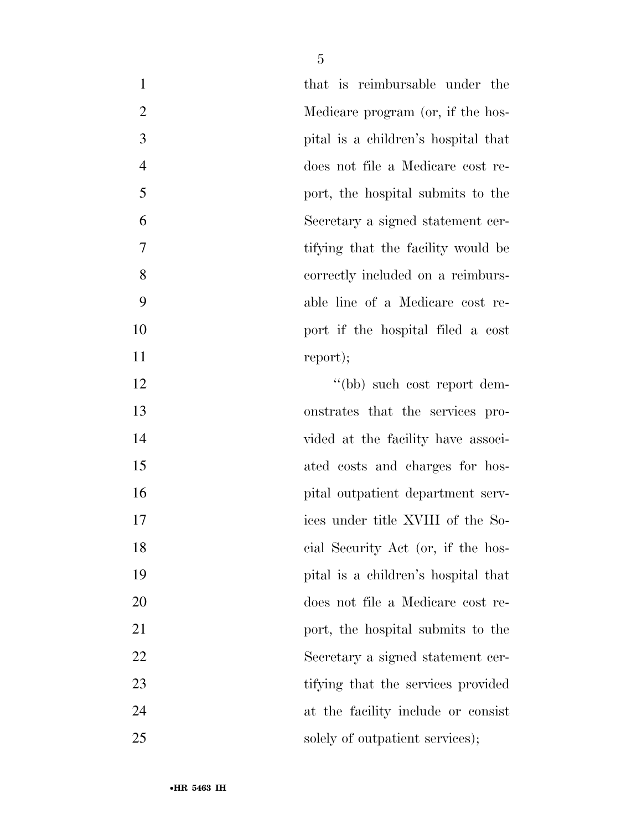| $\mathbf{1}$   | that is reimbursable under the      |
|----------------|-------------------------------------|
| $\overline{2}$ | Medicare program (or, if the hos-   |
| 3              | pital is a children's hospital that |
| $\overline{4}$ | does not file a Medicare cost re-   |
| 5              | port, the hospital submits to the   |
| 6              | Secretary a signed statement cer-   |
| 7              | tifying that the facility would be  |
| 8              | correctly included on a reimburs-   |
| 9              | able line of a Medicare cost re-    |
| 10             | port if the hospital filed a cost   |
| 11             | report);                            |
| 12             | "(bb) such cost report dem-         |
| 13             | onstrates that the services pro-    |
| 14             | vided at the facility have associ-  |
| 15             | ated costs and charges for hos-     |
| 16             | pital outpatient department serv-   |
| 17             | ices under title XVIII of the So-   |
| 18             | cial Security Act (or, if the hos-  |
| 19             | pital is a children's hospital that |
| 20             | does not file a Medicare cost re-   |
| 21             | port, the hospital submits to the   |
| 22             | Secretary a signed statement cer-   |
| 23             | tifying that the services provided  |
| 24             | at the facility include or consist  |
| 25             | solely of outpatient services);     |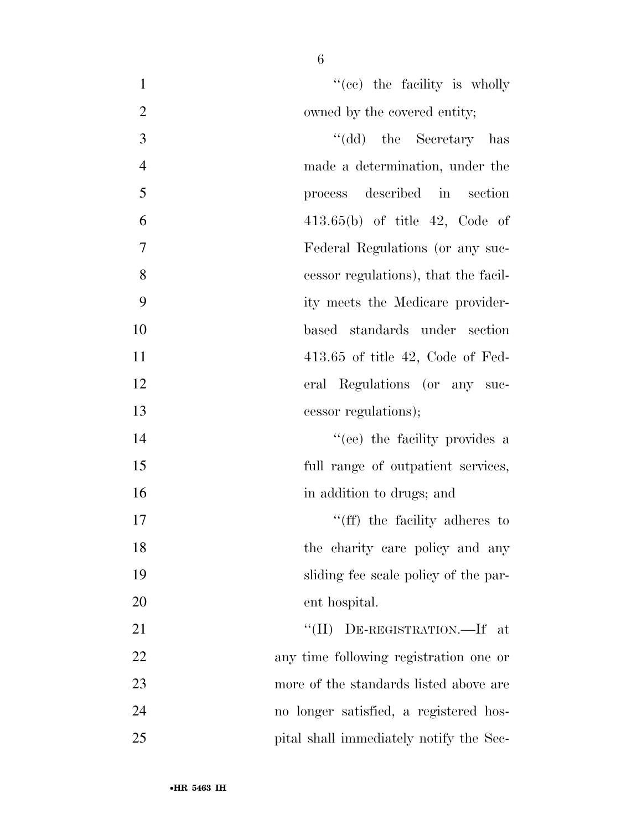| $\mathbf{1}$ | "(cc) the facility is wholly        |
|--------------|-------------------------------------|
| 2            | owned by the covered entity;        |
| 3            | "(dd) the Secretary has             |
| 4            | made a determination, under the     |
| 5            | described in<br>section<br>process  |
| 6            | $413.65(b)$ of title $42$ , Code of |

 Federal Regulations (or any suc-cessor regulations), that the facil-

- ity meets the Medicare provider-
- based standards under section 413.65 of title 42, Code of Fed-
- eral Regulations (or any suc-

cessor regulations);

- 14 ''(ee) the facility provides a full range of outpatient services, 16 in addition to drugs; and
- 17  $\text{``(ff)}$  the facility adheres to 18 the charity care policy and any sliding fee scale policy of the par-ent hospital.

 ''(II) DE-REGISTRATION.—If at any time following registration one or more of the standards listed above are no longer satisfied, a registered hos-pital shall immediately notify the Sec-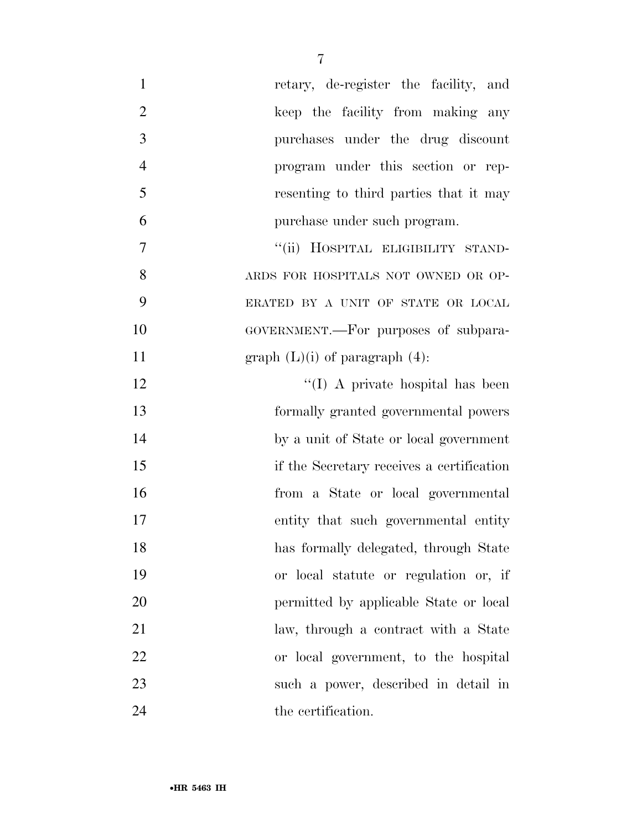| $\mathbf{1}$   | retary, de-register the facility, and     |
|----------------|-------------------------------------------|
| $\overline{2}$ | keep the facility from making any         |
| 3              | purchases under the drug discount         |
| $\overline{4}$ | program under this section or rep-        |
| 5              | resenting to third parties that it may    |
| 6              | purchase under such program.              |
| 7              | "(ii) HOSPITAL ELIGIBILITY STAND-         |
| 8              | ARDS FOR HOSPITALS NOT OWNED OR OP-       |
| 9              | ERATED BY A UNIT OF STATE OR LOCAL        |
| 10             | GOVERNMENT.—For purposes of subpara-      |
| 11             | graph $(L)(i)$ of paragraph $(4)$ :       |
| 12             | $\lq (I)$ A private hospital has been     |
| 13             | formally granted governmental powers      |
| 14             | by a unit of State or local government    |
| 15             | if the Secretary receives a certification |
| 16             | from a State or local governmental        |
| 17             | entity that such governmental entity      |
| 18             | has formally delegated, through State     |
| 19             | or local statute or regulation or, if     |
| 20             | permitted by applicable State or local    |
| 21             | law, through a contract with a State      |
| 22             | or local government, to the hospital      |
| 23             | such a power, described in detail in      |
| 24             | the certification.                        |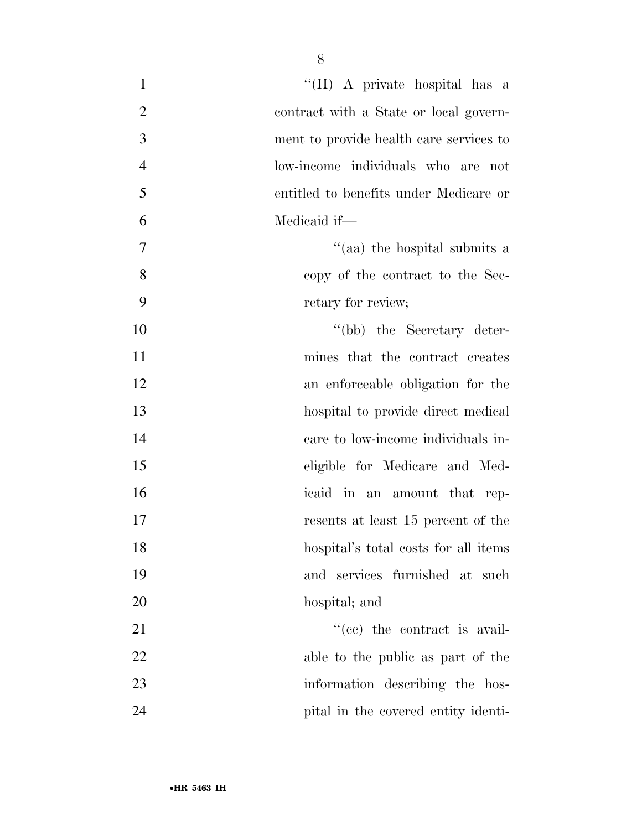| $\mathbf{1}$   | "(II) A private hospital has a          |
|----------------|-----------------------------------------|
| $\overline{2}$ | contract with a State or local govern-  |
| 3              | ment to provide health care services to |
| $\overline{4}$ | low-income individuals who are not      |
| 5              | entitled to benefits under Medicare or  |
| 6              | Medicaid if-                            |
| $\tau$         | "(aa) the hospital submits a            |
| 8              | copy of the contract to the Sec-        |
| 9              | retary for review;                      |
| 10             | "(bb) the Secretary deter-              |
| 11             | mines that the contract creates         |
| 12             | an enforceable obligation for the       |
| 13             | hospital to provide direct medical      |
| 14             | care to low-income individuals in-      |
| 15             | eligible for Medicare and Med-          |
| 16             | icaid in an amount that rep-            |
| 17             | resents at least 15 percent of the      |
| 18             | hospital's total costs for all items    |
| 19             | and services furnished at such          |
| 20             | hospital; and                           |
| 21             | $f''(ce)$ the contract is avail-        |
| 22             | able to the public as part of the       |
| 23             | information describing the hos-         |
| 24             | pital in the covered entity identi-     |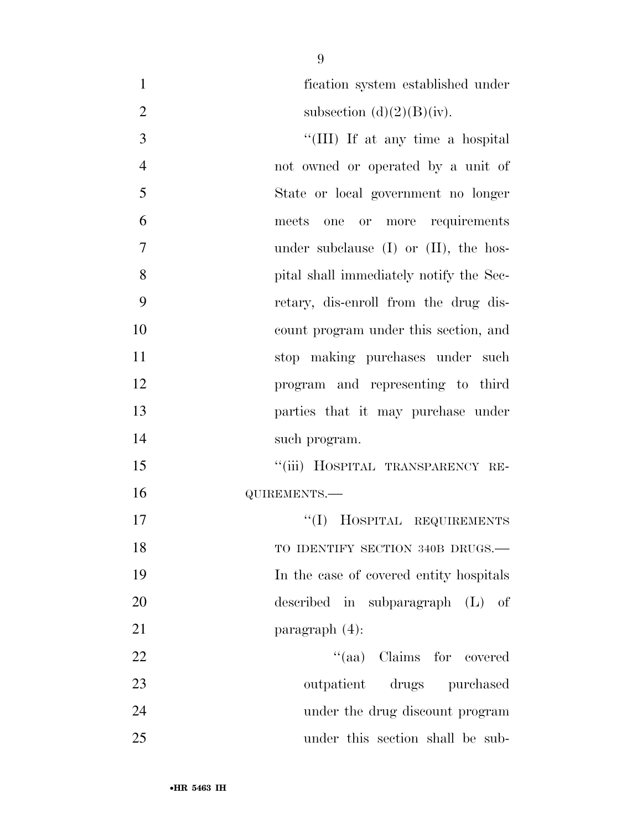| $\mathbf{1}$   | fication system established under          |
|----------------|--------------------------------------------|
| $\overline{2}$ | subsection $(d)(2)(B)(iv)$ .               |
| 3              | "(III) If at any time a hospital           |
| $\overline{4}$ | not owned or operated by a unit of         |
| 5              | State or local government no longer        |
| 6              | one or more requirements<br>meets          |
| 7              | under subclause $(I)$ or $(II)$ , the hos- |
| 8              | pital shall immediately notify the Sec-    |
| 9              | retary, dis-enroll from the drug dis-      |
| 10             | count program under this section, and      |
| 11             | stop making purchases under such           |
| 12             | program and representing to third          |
| 13             | parties that it may purchase under         |
| 14             | such program.                              |
| 15             | "(iii) HOSPITAL TRANSPARENCY RE-           |
| 16             | QUIREMENTS.-                               |
| 17             | "(I) HOSPITAL REQUIREMENTS                 |
| 18             | TO IDENTIFY SECTION 340B DRUGS.-           |
| 19             | In the case of covered entity hospitals    |
| 20             | described in subparagraph $(L)$ of         |
| 21             | paragraph $(4)$ :                          |
| 22             | "(aa) Claims for covered                   |
| 23             | outpatient drugs purchased                 |
| 24             | under the drug discount program            |
| 25             | under this section shall be sub-           |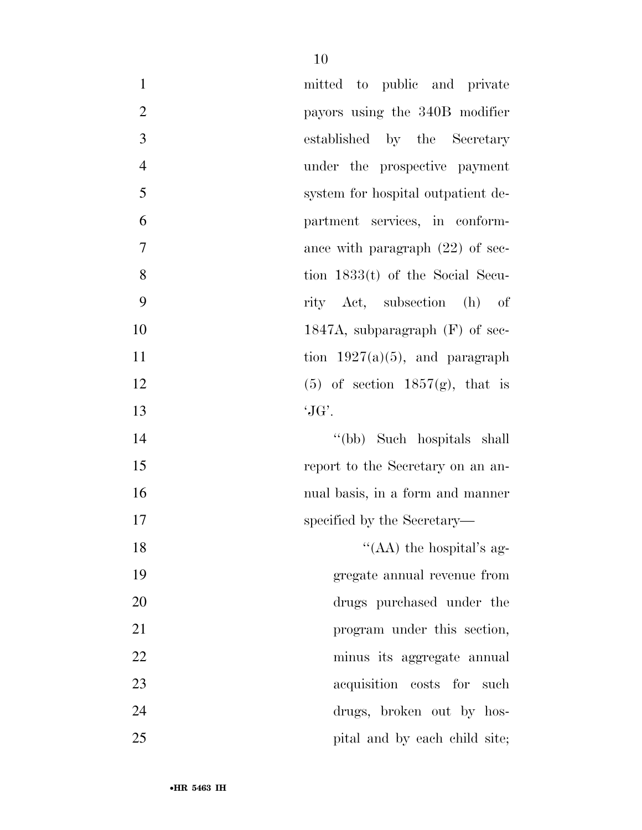| $\mathbf{1}$   | mitted to public and private       |
|----------------|------------------------------------|
| $\overline{2}$ | payors using the 340B modifier     |
| 3              | established by the Secretary       |
| $\overline{4}$ | under the prospective payment      |
| 5              | system for hospital outpatient de- |
| 6              | partment services, in conform-     |
| $\overline{7}$ | ance with paragraph $(22)$ of sec- |
| 8              | tion $1833(t)$ of the Social Secu- |
| 9              | rity Act, subsection (h)<br>of     |
| 10             | 1847A, subparagraph $(F)$ of sec-  |
| 11             | tion $1927(a)(5)$ , and paragraph  |
| 12             | $(5)$ of section 1857(g), that is  |
| 13             | $\mathcal{G}(\mathcal{G})$ .       |
| 14             | "(bb) Such hospitals shall         |
| 15             | report to the Secretary on an an-  |
| 16             | nual basis, in a form and manner   |
| 17             | specified by the Secretary—        |
| 18             | "(AA) the hospital's ag-           |
| 19             | gregate annual revenue from        |
| 20             | drugs purchased under the          |
| 21             | program under this section,        |
| 22             | minus its aggregate annual         |
| 23             | acquisition costs for such         |
| 24             | drugs, broken out by hos-          |
| 25             | pital and by each child site;      |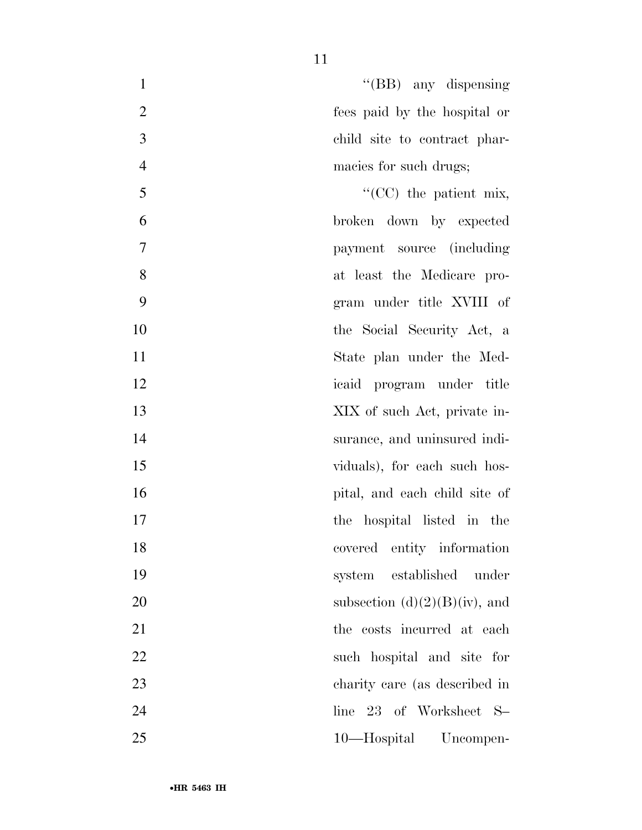| "(BB) any dispensing             | $\mathbf{1}$   |
|----------------------------------|----------------|
| fees paid by the hospital or     | $\overline{2}$ |
| child site to contract phar-     | 3              |
| macies for such drugs;           | $\overline{4}$ |
| $\lq\lq$ (CC) the patient mix,   | 5              |
| broken down by expected          | 6              |
| payment source (including        | 7              |
| at least the Medicare pro-       | 8              |
| gram under title XVIII of        | 9              |
| the Social Security Act, a       | 10             |
| State plan under the Med-        | 11             |
| icaid program under title        | 12             |
| XIX of such Act, private in-     | 13             |
| surance, and uninsured indi-     | 14             |
| viduals), for each such hos-     | 15             |
| pital, and each child site of    | 16             |
| the hospital listed in the       | 17             |
| covered entity information       | 18             |
| established under<br>system      | 19             |
| subsection $(d)(2)(B)(iv)$ , and | 20             |
| the costs incurred at each       | 21             |
| such hospital and site for       | 22             |
| charity care (as described in    | 23             |
| 23 of Worksheet S-<br>line       | 24             |
| 10—Hospital Uncompen-            | 25             |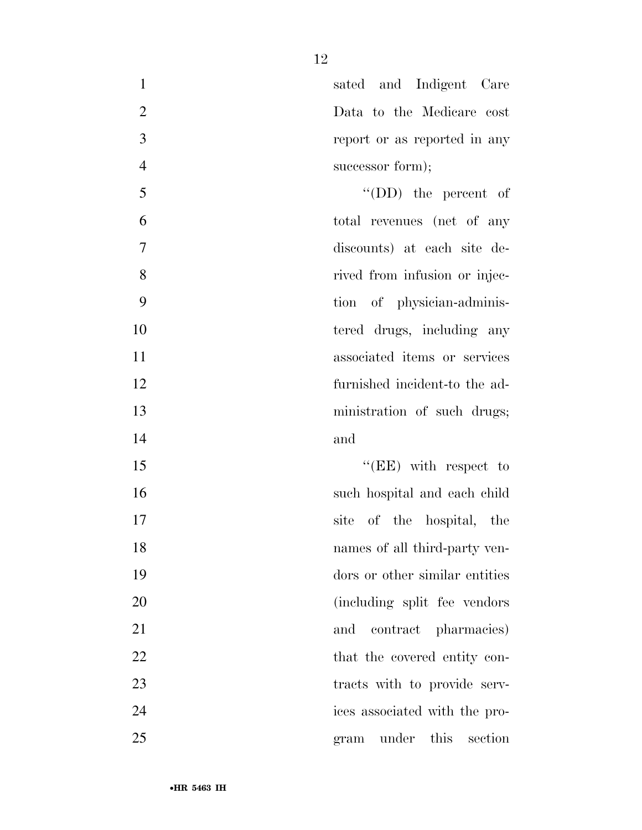1 sated and Indigent Care Data to the Medicare cost report or as reported in any 4 successor form); ''(DD) the percent of total revenues (net of any discounts) at each site de-8 rived from infusion or injec-

 tion of physician-adminis-10 tered drugs, including any associated items or services furnished incident-to the ad-13 ministration of such drugs;

15 ''(EE) with respect to such hospital and each child site of the hospital, the names of all third-party ven- dors or other similar entities (including split fee vendors 21 and contract pharmacies) 22 that the covered entity con-23 tracts with to provide serv- ices associated with the pro-gram under this section

and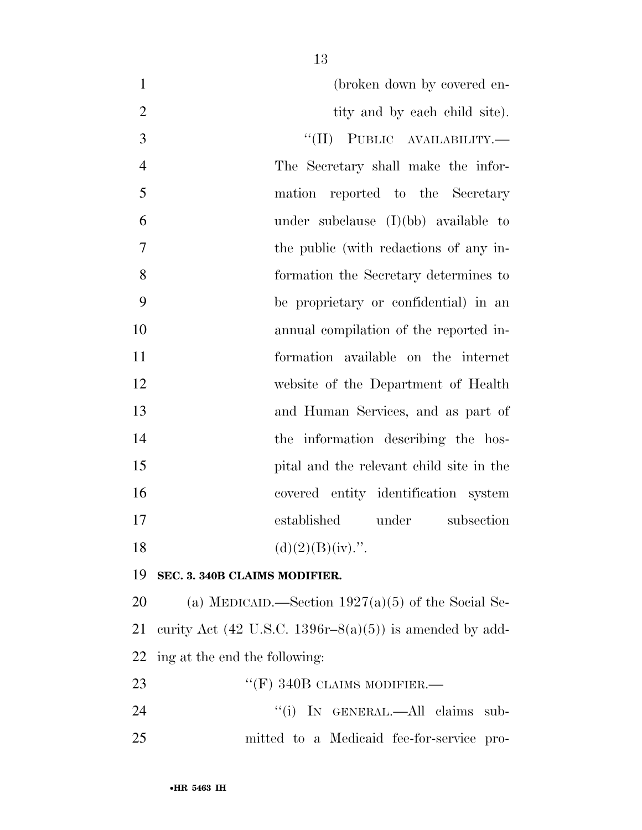| $\mathbf{1}$   | (broken down by covered en-                             |
|----------------|---------------------------------------------------------|
| $\mathbf{2}$   | tity and by each child site).                           |
| 3              | "(II) PUBLIC AVAILABILITY.—                             |
| $\overline{4}$ | The Secretary shall make the infor-                     |
| 5              | mation reported to the Secretary                        |
| 6              | under subclause $(I)(bb)$ available to                  |
| $\overline{7}$ | the public (with redactions of any in-                  |
| 8              | formation the Secretary determines to                   |
| 9              | be proprietary or confidential) in an                   |
| 10             | annual compilation of the reported in-                  |
| 11             | formation available on the internet                     |
| 12             | website of the Department of Health                     |
| 13             | and Human Services, and as part of                      |
| 14             | the information describing the hos-                     |
| 15             | pital and the relevant child site in the                |
| 16             | covered entity identification system                    |
| 17             | established<br>under<br>subsection                      |
| 18             | $(d)(2)(B)(iv)$ .".                                     |
| 19             | SEC. 3. 340B CLAIMS MODIFIER.                           |
| 20             | (a) MEDICAID.—Section $1927(a)(5)$ of the Social Se-    |
| 21             | curity Act (42 U.S.C. 1396r–8(a)(5)) is amended by add- |
| <u>22</u>      | ing at the end the following:                           |
| 23             | "(F) 340B CLAIMS MODIFIER.—                             |
| 24             | "(i) IN GENERAL.—All claims<br>sub-                     |
| 25             | mitted to a Medicaid fee-for-service pro-               |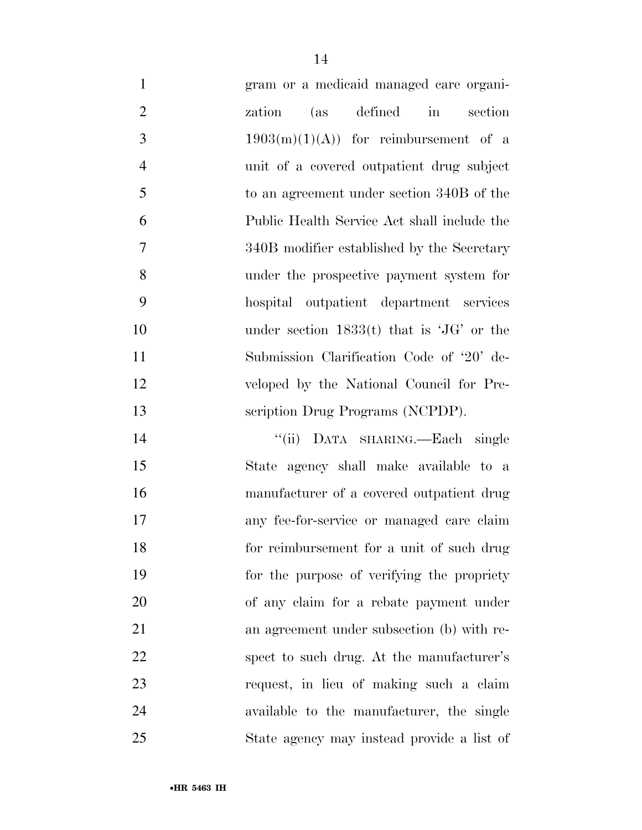| $\mathbf{1}$   | gram or a medicaid managed care organi-     |
|----------------|---------------------------------------------|
| $\overline{2}$ | (as defined<br>in<br>section<br>zation      |
| 3              | $1903(m)(1)(A)$ for reimbursement of a      |
| $\overline{4}$ | unit of a covered outpatient drug subject   |
| 5              | to an agreement under section 340B of the   |
| 6              | Public Health Service Act shall include the |
| $\overline{7}$ | 340B modifier established by the Secretary  |
| 8              | under the prospective payment system for    |
| 9              | hospital outpatient department services     |
| 10             | under section $1833(t)$ that is 'JG' or the |
| 11             | Submission Clarification Code of '20' de-   |
| 12             | veloped by the National Council for Pre-    |
| 13             | scription Drug Programs (NCPDP).            |
| 14             | "(ii) DATA SHARING.—Each single             |
| 15             | State agency shall make available to a      |
| 16             | manufacturer of a covered outpatient drug   |
| 17             | any fee-for-service or managed care claim   |
| 18             | for reimbursement for a unit of such drug   |
| 19             | for the purpose of verifying the propriety  |
| 20             | of any claim for a rebate payment under     |
| 21             | an agreement under subsection (b) with re-  |
| 22             | spect to such drug. At the manufacturer's   |
| 23             | request, in lieu of making such a claim     |
| 24             | available to the manufacturer, the single   |
| 25             | State agency may instead provide a list of  |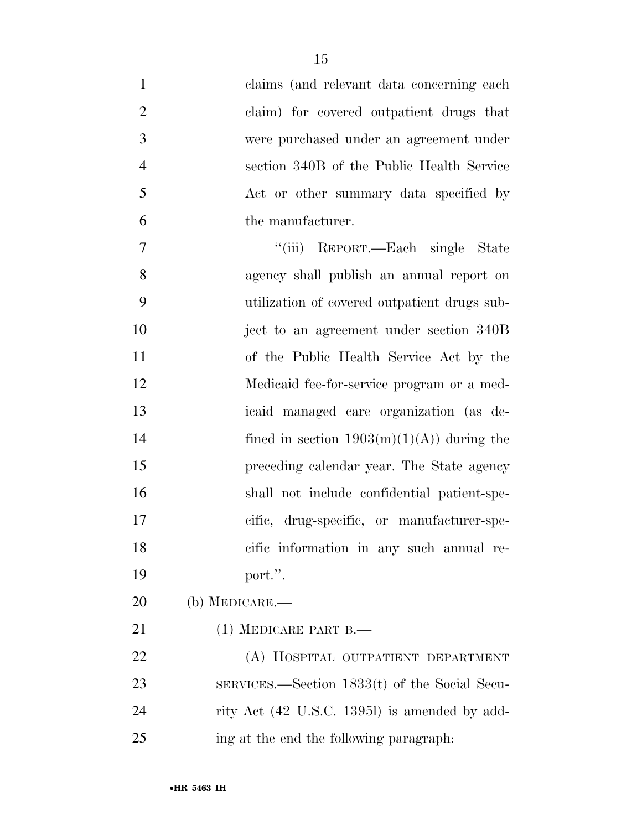| $\mathbf{1}$   | claims (and relevant data concerning each)      |
|----------------|-------------------------------------------------|
| $\overline{2}$ | claim) for covered outpatient drugs that        |
| 3              | were purchased under an agreement under         |
| $\overline{4}$ | section 340B of the Public Health Service       |
| 5              | Act or other summary data specified by          |
| 6              | the manufacturer.                               |
| $\tau$         | "(iii) REPORT.—Each single State                |
| 8              | agency shall publish an annual report on        |
| 9              | utilization of covered outpatient drugs sub-    |
| 10             | ject to an agreement under section 340B         |
| 11             | of the Public Health Service Act by the         |
| 12             | Medicaid fee-for-service program or a med-      |
| 13             | icaid managed care organization (as de-         |
| 14             | fined in section $1903(m)(1)(A)$ during the     |
| 15             | preceding calendar year. The State agency       |
| 16             | shall not include confidential patient-spe-     |
| 17             | cific, drug-specific, or manufacturer-spe-      |
| 18             | cific information in any such annual re-        |
| 19             | port.".                                         |
| 20             | $(b)$ MEDICARE.—                                |
| 21             | $(1)$ MEDICARE PART B.—                         |
| 22             | (A) HOSPITAL OUTPATIENT DEPARTMENT              |
| 23             | $SERVICES.$ Section 1833(t) of the Social Secu- |
| 24             | rity Act (42 U.S.C. 13951) is amended by add-   |
| 25             | ing at the end the following paragraph.         |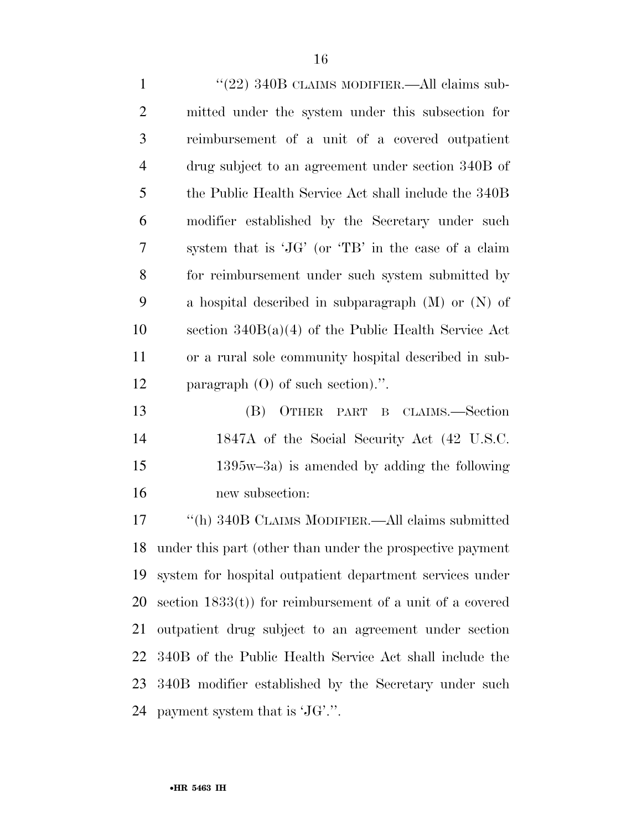| $\mathbf{1}$   | "(22) 340B CLAIMS MODIFIER.—All claims sub-            |
|----------------|--------------------------------------------------------|
| $\overline{2}$ | mitted under the system under this subsection for      |
| 3              | reimbursement of a unit of a covered outpatient        |
| $\overline{4}$ | drug subject to an agreement under section 340B of     |
| 5              | the Public Health Service Act shall include the 340B   |
| 6              | modifier established by the Secretary under such       |
| 7              | system that is 'JG' (or 'TB' in the case of a claim    |
| 8              | for reimbursement under such system submitted by       |
| 9              | a hospital described in subparagraph $(M)$ or $(N)$ of |
| 10             | section $340B(a)(4)$ of the Public Health Service Act  |
| 11             | or a rural sole community hospital described in sub-   |
| 12             | paragraph $(O)$ of such section).".                    |
|                |                                                        |

 (B) OTHER PART B CLAIMS.—Section 1847A of the Social Security Act (42 U.S.C. 1395w–3a) is amended by adding the following new subsection:

 ''(h) 340B CLAIMS MODIFIER.—All claims submitted under this part (other than under the prospective payment system for hospital outpatient department services under section 1833(t)) for reimbursement of a unit of a covered outpatient drug subject to an agreement under section 340B of the Public Health Service Act shall include the 340B modifier established by the Secretary under such payment system that is 'JG'.''.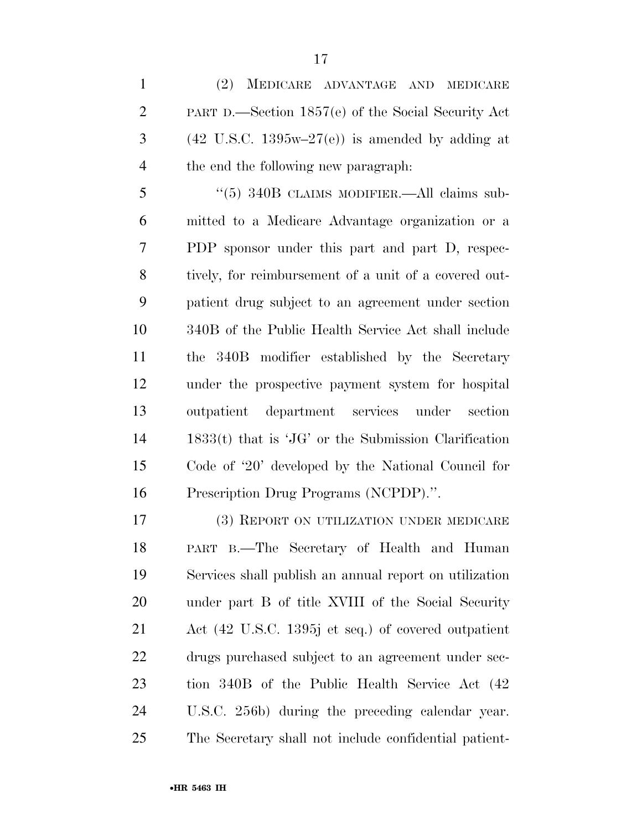(2) MEDICARE ADVANTAGE AND MEDICARE PART D.—Section 1857(e) of the Social Security Act  $3 \times (42 \text{ U.S.C. } 1395\text{w} - 27\text{(e)})$  is amended by adding at the end the following new paragraph:

 ''(5) 340B CLAIMS MODIFIER.—All claims sub- mitted to a Medicare Advantage organization or a PDP sponsor under this part and part D, respec- tively, for reimbursement of a unit of a covered out- patient drug subject to an agreement under section 340B of the Public Health Service Act shall include the 340B modifier established by the Secretary under the prospective payment system for hospital outpatient department services under section 1833(t) that is 'JG' or the Submission Clarification Code of '20' developed by the National Council for Prescription Drug Programs (NCPDP).''.

 (3) REPORT ON UTILIZATION UNDER MEDICARE PART B.—The Secretary of Health and Human Services shall publish an annual report on utilization under part B of title XVIII of the Social Security Act (42 U.S.C. 1395j et seq.) of covered outpatient drugs purchased subject to an agreement under sec- tion 340B of the Public Health Service Act (42 U.S.C. 256b) during the preceding calendar year. The Secretary shall not include confidential patient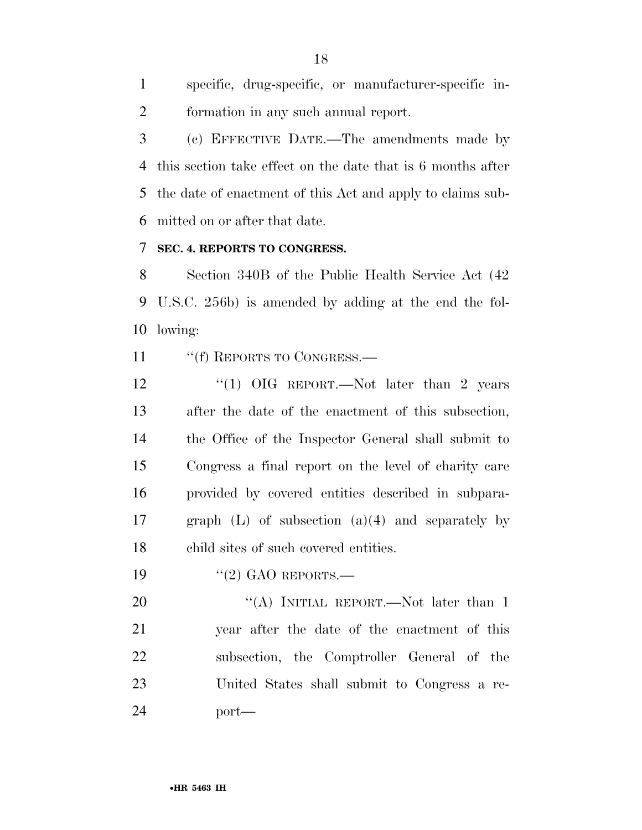specific, drug-specific, or manufacturer-specific in-formation in any such annual report.

 (c) EFFECTIVE DATE.—The amendments made by this section take effect on the date that is 6 months after the date of enactment of this Act and apply to claims sub-mitted on or after that date.

### **SEC. 4. REPORTS TO CONGRESS.**

 Section 340B of the Public Health Service Act (42 U.S.C. 256b) is amended by adding at the end the fol-lowing:

11 ""(f) REPORTS TO CONGRESS.—

12 "(1) OIG REPORT.—Not later than 2 years after the date of the enactment of this subsection, the Office of the Inspector General shall submit to Congress a final report on the level of charity care provided by covered entities described in subpara- graph (L) of subsection (a)(4) and separately by child sites of such covered entities.

19 "(2) GAO REPORTS.—

20 "(A) INITIAL REPORT.—Not later than 1 year after the date of the enactment of this subsection, the Comptroller General of the United States shall submit to Congress a re-port—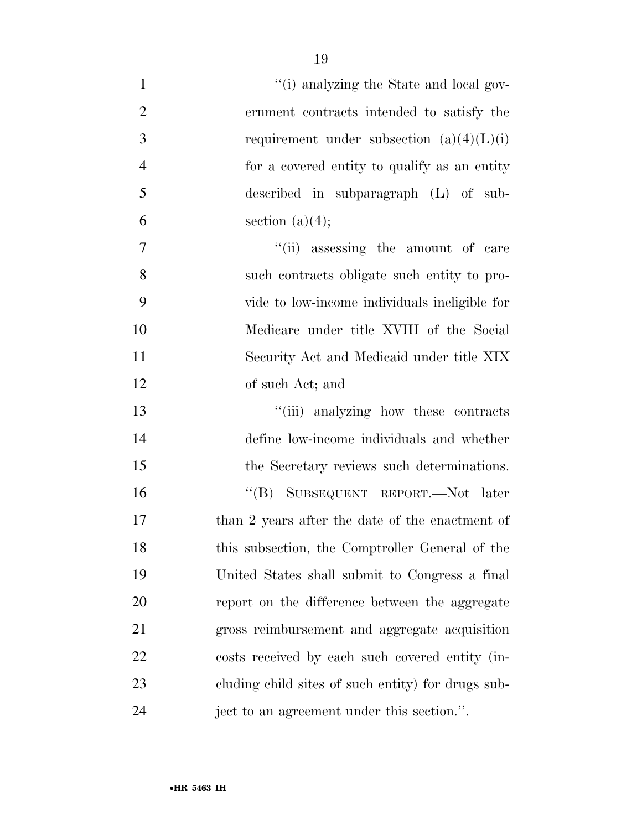| $\mathbf{1}$   | "(i) analyzing the State and local gov-            |
|----------------|----------------------------------------------------|
| $\overline{2}$ | ernment contracts intended to satisfy the          |
| 3              | requirement under subsection $(a)(4)(L)(i)$        |
| $\overline{4}$ | for a covered entity to qualify as an entity       |
| 5              | described in subparagraph $(L)$ of sub-            |
| 6              | section $(a)(4);$                                  |
| 7              | "(ii) assessing the amount of care                 |
| 8              | such contracts obligate such entity to pro-        |
| 9              | vide to low-income individuals ineligible for      |
| 10             | Medicare under title XVIII of the Social           |
| 11             | Security Act and Medicaid under title XIX          |
| 12             | of such Act; and                                   |
| 13             | "(iii) analyzing how these contracts               |
| 14             | define low-income individuals and whether          |
| 15             | the Secretary reviews such determinations.         |
| 16             | "(B) SUBSEQUENT REPORT.—Not later                  |
| 17             | than 2 years after the date of the enactment of    |
| 18             | this subsection, the Comptroller General of the    |
| 19             | United States shall submit to Congress a final     |
| 20             | report on the difference between the aggregate     |
| 21             | gross reimbursement and aggregate acquisition      |
| 22             | costs received by each such covered entity (in-    |
| 23             | cluding child sites of such entity) for drugs sub- |
| 24             | ject to an agreement under this section.".         |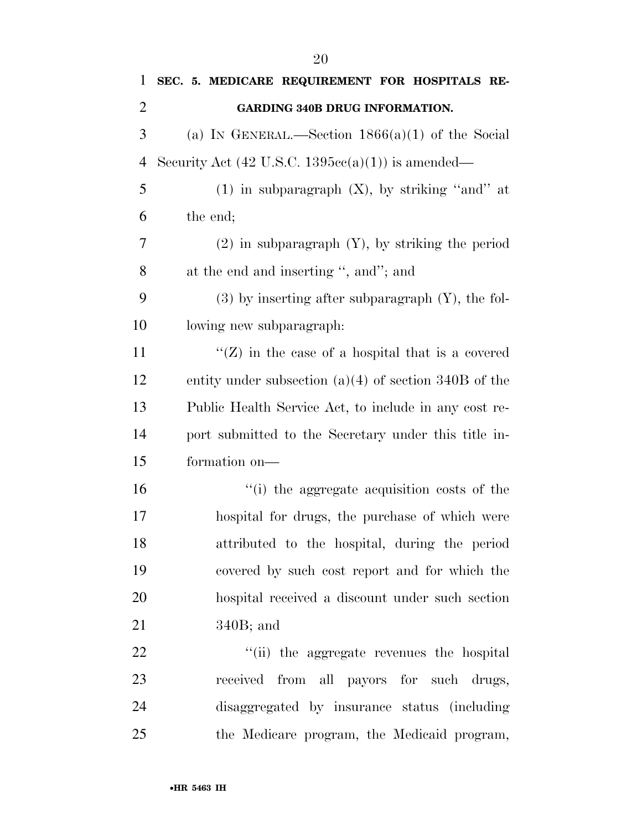| 1              | SEC. 5. MEDICARE REQUIREMENT FOR HOSPITALS RE-               |
|----------------|--------------------------------------------------------------|
| $\overline{2}$ | <b>GARDING 340B DRUG INFORMATION.</b>                        |
| 3              | (a) IN GENERAL.—Section $1866(a)(1)$ of the Social           |
| $\overline{4}$ | Security Act $(42 \text{ U.S.C. } 1395cc(a)(1))$ is amended— |
| 5              | $(1)$ in subparagraph $(X)$ , by striking "and" at           |
| 6              | the end;                                                     |
| 7              | $(2)$ in subparagraph $(Y)$ , by striking the period         |
| 8              | at the end and inserting ", and"; and                        |
| 9              | $(3)$ by inserting after subparagraph $(Y)$ , the fol-       |
| 10             | lowing new subparagraph:                                     |
| 11             | $\lq (Z)$ in the case of a hospital that is a covered        |
| 12             | entity under subsection $(a)(4)$ of section 340B of the      |
| 13             | Public Health Service Act, to include in any cost re-        |
| 14             | port submitted to the Secretary under this title in-         |
| 15             | formation on-                                                |
| 16             | "(i) the aggregate acquisition costs of the                  |
| 17             | hospital for drugs, the purchase of which were               |
| 18             | attributed to the hospital, during the period                |
| 19             | covered by such cost report and for which the                |
| 20             | hospital received a discount under such section              |
| 21             | $340B$ ; and                                                 |
| 22             | "(ii) the aggregate revenues the hospital                    |
| 23             | received from all payors for such drugs,                     |
| 24             | disaggregated by insurance status (including)                |
| 25             | the Medicare program, the Medicaid program,                  |